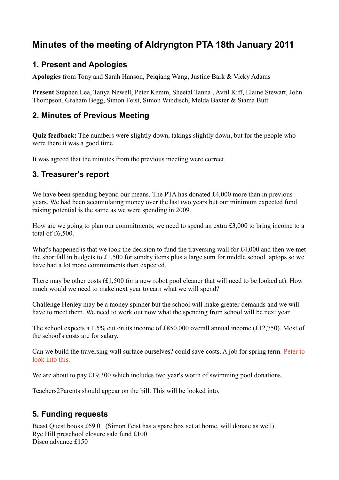# **Minutes of the meeting of Aldryngton PTA 18th January 2011**

### **1. Present and Apologies**

**Apologies** from Tony and Sarah Hanson, Peiqiang Wang, Justine Bark & Vicky Adams

**Present** Stephen Lea, Tanya Newell, Peter Kemm, Sheetal Tanna , Avril Kiff, Elaine Stewart, John Thompson, Graham Begg, Simon Feist, Simon Windisch, Melda Baxter & Siama Butt

### **2. Minutes of Previous Meeting**

**Quiz feedback:** The numbers were slightly down, takings slightly down, but for the people who were there it was a good time

It was agreed that the minutes from the previous meeting were correct.

### **3. Treasurer's report**

We have been spending beyond our means. The PTA has donated £4,000 more than in previous years. We had been accumulating money over the last two years but our minimum expected fund raising potential is the same as we were spending in 2009.

How are we going to plan our commitments, we need to spend an extra £3,000 to bring income to a total of £6,500.

What's happened is that we took the decision to fund the traversing wall for £4,000 and then we met the shortfall in budgets to £1,500 for sundry items plus a large sum for middle school laptops so we have had a lot more commitments than expected.

There may be other costs (£1,500 for a new robot pool cleaner that will need to be looked at). How much would we need to make next year to earn what we will spend?

Challenge Henley may be a money spinner but the school will make greater demands and we will have to meet them. We need to work out now what the spending from school will be next year.

The school expects a 1.5% cut on its income of £850,000 overall annual income (£12,750). Most of the school's costs are for salary.

Can we build the traversing wall surface ourselves? could save costs. A job for spring term. Peter to look into this.

We are about to pay £19,300 which includes two year's worth of swimming pool donations.

Teachers2Parents should appear on the bill. This will be looked into.

### **5. Funding requests**

Beast Quest books £69.01 (Simon Feist has a spare box set at home, will donate as well) Rye Hill preschool closure sale fund £100 Disco advance £150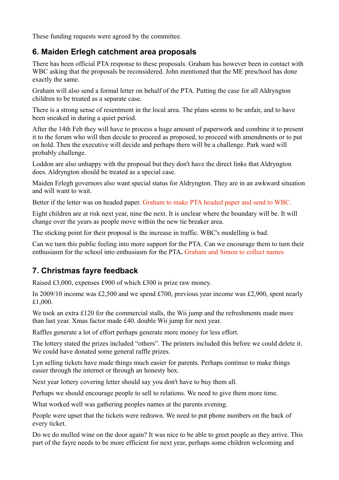These funding requests were agreed by the committee.

### **6. Maiden Erlegh catchment area proposals**

There has been official PTA response to these proposals. Graham has however been in contact with WBC asking that the proposals be reconsidered. John mentioned that the ME preschool has done exactly the same.

Graham will also send a formal letter on behalf of the PTA. Putting the case for all Aldryngton children to be treated as a separate case.

There is a strong sense of resentment in the local area. The plans seems to be unfair, and to have been sneaked in during a quiet period.

After the 14th Feb they will have to process a huge amount of paperwork and combine it to present it to the forum who will then decide to proceed as proposed, to proceed with amendments or to put on hold. Then the executive will decide and perhaps there will be a challenge. Park ward will probably challenge.

Loddon are also unhappy with the proposal but they don't have the direct links that Aldryngton does. Aldryngton should be treated as a special case.

Maiden Erlegh governors also want special status for Aldryngton. They are in an awkward situation and will want to wait.

Better if the letter was on headed paper. Graham to make PTA headed paper and send to WBC.

Eight children are at risk next year, nine the next. It is unclear where the boundary will be. It will change over the years as people move within the new tie breaker area.

The sticking point for their proposal is the increase in traffic. WBC's modelling is bad.

Can we turn this public feeling into more support for the PTA. Can we encourage them to turn their enthusiasm for the school into enthusiasm for the PTA**.** Graham and Simon to collect names

# **7. Christmas fayre feedback**

Raised £3,000, expenses £900 of which £300 is prize raw money.

In 2009/10 income was £2,500 and we spend £700, previous year income was £2,900, spent nearly £1,000.

We took an extra £120 for the commercial stalls, the Wii jump and the refreshments made more than last year. Xmas factor made £40. double Wii jump for next year.

Raffles generate a lot of effort perhaps generate more money for less effort.

The lottery stated the prizes included "others". The printers included this before we could delete it. We could have donated some general raffle prizes.

Lyn selling tickets have made things much easier for parents. Perhaps continue to make things easier through the internet or through an honesty box.

Next year lottery covering letter should say you don't have to buy them all.

Perhaps we should encourage people to sell to relations. We need to give them more time.

What worked well was gathering peoples names at the parents evening.

People were upset that the tickets were redrawn. We need to put phone numbers on the back of every ticket.

Do we do mulled wine on the door again? It was nice to be able to greet people as they arrive. This part of the fayre needs to be more efficient for next year, perhaps some children welcoming and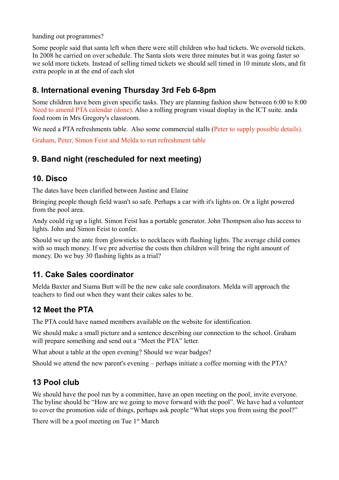handing out programmes?

Some people said that santa left when there were still children who had tickets. We oversold tickets. In 2008 he carried on over schedule. The Santa slots were three minutes but it was going faster so we sold more tickets. Instead of selling timed tickets we should sell timed in 10 minute slots, and fit extra people in at the end of each slot

# **8. International evening Thursday 3rd Feb 6-8pm**

Some children have been given specific tasks. They are planning fashion show between 6:00 to 8:00 Need to amend PTA calendar (done). Also a rolling program visual display in the ICT suite. anda food room in Mrs Gregory's classroom.

We need a PTA refreshments table. Also some commercial stalls (Peter to supply possible details).

Graham, Peter, Simon Feist and Melda to run refreshment table

# **9. Band night (rescheduled for next meeting)**

#### **10. Disco**

The dates have been clarified between Justine and Elaine

Bringing people though field wasn't so safe. Perhaps a car with it's lights on. Or a light powered from the pool area.

Andy could rig up a light. Simon Feist has a portable generator. John Thompson also has access to lights. John and Simon Feist to confer.

Should we up the ante from glowsticks to necklaces with flashing lights. The average child comes with so much money. If we pre advertise the costs then children will bring the right amount of money. Do we buy 30 flashing lights as a trial?

# **11. Cake Sales coordinator**

Melda Baxter and Siama Butt will be the new cake sale coordinators. Melda will approach the teachers to find out when they want their cakes sales to be.

# **12 Meet the PTA**

The PTA could have named members available on the website for identification.

We should make a small picture and a sentence describing our connection to the school. Graham will prepare something and send out a "Meet the PTA" letter.

What about a table at the open evening? Should we wear badges?

Should we attend the new parent's evening – perhaps initiate a coffee morning with the PTA?

### **13 Pool club**

We should have the pool run by a committee, have an open meeting on the pool, invite everyone. The byline should be "How are we going to move forward with the pool". We have had a volunteer to cover the promotion side of things, perhaps ask people "What stops you from using the pool?"

There will be a pool meeting on Tue  $1<sup>st</sup>$  March